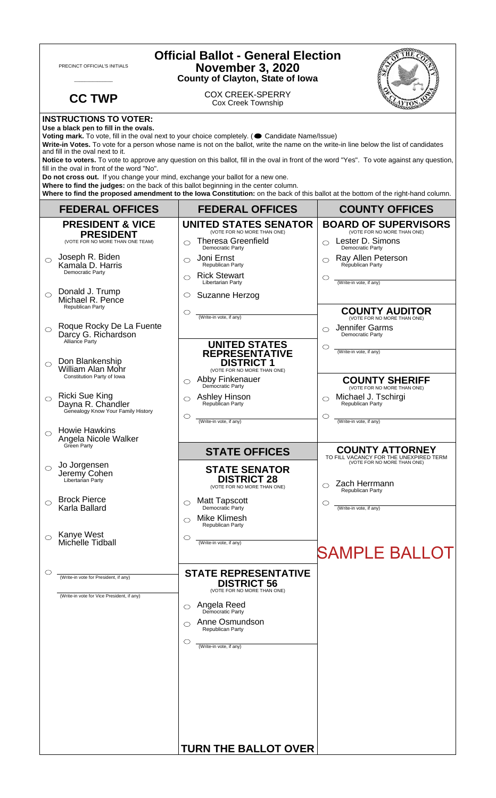| <b>Official Ballot - General Election</b><br><b>November 3, 2020</b><br>PRECINCT OFFICIAL'S INITIALS<br><b>County of Clayton, State of Iowa</b>                                                                                                                                                                                                                                                                                                                                                            |                                                                                                            |                                                                                                                                                                                                                                          |                                                                                                 |  |
|------------------------------------------------------------------------------------------------------------------------------------------------------------------------------------------------------------------------------------------------------------------------------------------------------------------------------------------------------------------------------------------------------------------------------------------------------------------------------------------------------------|------------------------------------------------------------------------------------------------------------|------------------------------------------------------------------------------------------------------------------------------------------------------------------------------------------------------------------------------------------|-------------------------------------------------------------------------------------------------|--|
|                                                                                                                                                                                                                                                                                                                                                                                                                                                                                                            | <b>CC TWP</b>                                                                                              | <b>COX CREEK-SPERRY</b><br><b>Cox Creek Township</b>                                                                                                                                                                                     |                                                                                                 |  |
|                                                                                                                                                                                                                                                                                                                                                                                                                                                                                                            | <b>INSTRUCTIONS TO VOTER:</b><br>Use a black pen to fill in the ovals.<br>and fill in the oval next to it. | Voting mark. To vote, fill in the oval next to your choice completely. ( Candidate Name/Issue)<br>Write-in Votes. To vote for a person whose name is not on the ballot, write the name on the write-in line below the list of candidates |                                                                                                 |  |
| Notice to voters. To vote to approve any question on this ballot, fill in the oval in front of the word "Yes". To vote against any question,<br>fill in the oval in front of the word "No".<br>Do not cross out. If you change your mind, exchange your ballot for a new one.<br>Where to find the judges: on the back of this ballot beginning in the center column.<br>Where to find the proposed amendment to the lowa Constitution: on the back of this ballot at the bottom of the right-hand column. |                                                                                                            |                                                                                                                                                                                                                                          |                                                                                                 |  |
|                                                                                                                                                                                                                                                                                                                                                                                                                                                                                                            | <b>FEDERAL OFFICES</b>                                                                                     | <b>FEDERAL OFFICES</b>                                                                                                                                                                                                                   | <b>COUNTY OFFICES</b>                                                                           |  |
|                                                                                                                                                                                                                                                                                                                                                                                                                                                                                                            | <b>PRESIDENT &amp; VICE</b>                                                                                | <b>UNITED STATES SENATOR</b><br>(VOTE FOR NO MORE THAN ONE)                                                                                                                                                                              | <b>BOARD OF SUPERVISORS</b><br>(VOTE FOR NO MORE THAN ONE)                                      |  |
|                                                                                                                                                                                                                                                                                                                                                                                                                                                                                                            | <b>PRESIDENT</b><br>(VOTE FOR NO MORE THAN ONE TEAM)                                                       | <b>Theresa Greenfield</b><br>⌒<br><b>Democratic Party</b>                                                                                                                                                                                | Lester D. Simons<br>$\bigcirc$<br>Democratic Party                                              |  |
| ◯                                                                                                                                                                                                                                                                                                                                                                                                                                                                                                          | Joseph R. Biden<br>Kamala D. Harris<br>Democratic Party                                                    | Joni Ernst<br>◯<br><b>Republican Party</b><br><b>Rick Stewart</b>                                                                                                                                                                        | Ray Allen Peterson<br>⌒<br>Republican Party                                                     |  |
|                                                                                                                                                                                                                                                                                                                                                                                                                                                                                                            |                                                                                                            | ⌒<br>Libertarian Party                                                                                                                                                                                                                   | O<br>(Write-in vote, if any)                                                                    |  |
| $\bigcirc$                                                                                                                                                                                                                                                                                                                                                                                                                                                                                                 | Donald J. Trump<br>Michael R. Pence<br>Republican Party                                                    | Suzanne Herzog<br>O                                                                                                                                                                                                                      |                                                                                                 |  |
| $\bigcirc$                                                                                                                                                                                                                                                                                                                                                                                                                                                                                                 | Roque Rocky De La Fuente<br>Darcy G. Richardson                                                            | $\circlearrowright$<br>(Write-in vote, if any)                                                                                                                                                                                           | <b>COUNTY AUDITOR</b><br>(VOTE FOR NO MORE THAN ONE)<br>Jennifer Garms<br>◯<br>Democratic Party |  |
|                                                                                                                                                                                                                                                                                                                                                                                                                                                                                                            | Alliance Party<br>Don Blankenship                                                                          | <b>UNITED STATES</b><br><b>REPRESENTATIVE</b>                                                                                                                                                                                            | O<br>(Write-in vote, if any)                                                                    |  |
| $\bigcirc$                                                                                                                                                                                                                                                                                                                                                                                                                                                                                                 | William Alan Mohr<br>Constitution Party of Iowa                                                            | <b>DISTRICT 1</b><br>(VOTE FOR NO MORE THAN ONE)                                                                                                                                                                                         |                                                                                                 |  |
|                                                                                                                                                                                                                                                                                                                                                                                                                                                                                                            |                                                                                                            | Abby Finkenauer<br>◯<br>Democratic Party                                                                                                                                                                                                 | <b>COUNTY SHERIFF</b><br>(VOTE FOR NO MORE THAN ONE)                                            |  |
|                                                                                                                                                                                                                                                                                                                                                                                                                                                                                                            | <b>Ricki Sue King</b><br>Dayna R. Chandler<br>Genealogy Know Your Family History                           | <b>Ashley Hinson</b><br>Republican Party<br>$\circlearrowright$                                                                                                                                                                          | Michael J. Tschirgi<br>Republican Party<br>O                                                    |  |
| $\bigcirc$                                                                                                                                                                                                                                                                                                                                                                                                                                                                                                 | <b>Howie Hawkins</b>                                                                                       | (Write-in vote, if any)                                                                                                                                                                                                                  | (Write-in vote, if any)                                                                         |  |
|                                                                                                                                                                                                                                                                                                                                                                                                                                                                                                            | Angela Nicole Walker<br>Green Party                                                                        | <b>STATE OFFICES</b>                                                                                                                                                                                                                     | <b>COUNTY ATTORNEY</b>                                                                          |  |
| $\circ$                                                                                                                                                                                                                                                                                                                                                                                                                                                                                                    | Jo Jorgensen<br>Jeremy Cohen<br>Libertarian Party                                                          | <b>STATE SENATOR</b><br><b>DISTRICT 28</b><br>(VOTE FOR NO MORE THAN ONE)                                                                                                                                                                | TO FILL VACANCY FOR THE UNEXPIRED TERM<br>(VOTE FOR NO MORE THAN ONE)<br>Zach Herrmann          |  |
| ◯                                                                                                                                                                                                                                                                                                                                                                                                                                                                                                          | <b>Brock Pierce</b>                                                                                        | <b>Matt Tapscott</b><br>O                                                                                                                                                                                                                | <b>Republican Party</b><br>O                                                                    |  |
|                                                                                                                                                                                                                                                                                                                                                                                                                                                                                                            | Karla Ballard                                                                                              | Democratic Party<br>Mike Klimesh<br>⌒<br>Republican Party                                                                                                                                                                                | (Write-in vote, if any)                                                                         |  |
|                                                                                                                                                                                                                                                                                                                                                                                                                                                                                                            | Kanye West<br>Michelle Tidball                                                                             | $\circlearrowright$<br>(Write-in vote, if any)                                                                                                                                                                                           | <b>SAMPLE BALLOT</b>                                                                            |  |
|                                                                                                                                                                                                                                                                                                                                                                                                                                                                                                            | (Write-in vote for President, if any)                                                                      | <b>STATE REPRESENTATIVE</b>                                                                                                                                                                                                              |                                                                                                 |  |
|                                                                                                                                                                                                                                                                                                                                                                                                                                                                                                            | (Write-in vote for Vice President, if any)                                                                 | <b>DISTRICT 56</b><br>(VOTE FOR NO MORE THAN ONE)                                                                                                                                                                                        |                                                                                                 |  |
|                                                                                                                                                                                                                                                                                                                                                                                                                                                                                                            |                                                                                                            | <b>Angela Reed</b><br>Democratic Party<br>⌒                                                                                                                                                                                              |                                                                                                 |  |
|                                                                                                                                                                                                                                                                                                                                                                                                                                                                                                            |                                                                                                            | Anne Osmundson<br>⌒<br>Republican Party                                                                                                                                                                                                  |                                                                                                 |  |
|                                                                                                                                                                                                                                                                                                                                                                                                                                                                                                            |                                                                                                            | O<br>(Write-in vote, if any)                                                                                                                                                                                                             |                                                                                                 |  |
|                                                                                                                                                                                                                                                                                                                                                                                                                                                                                                            |                                                                                                            | <b>TURN THE BALLOT OVER</b>                                                                                                                                                                                                              |                                                                                                 |  |